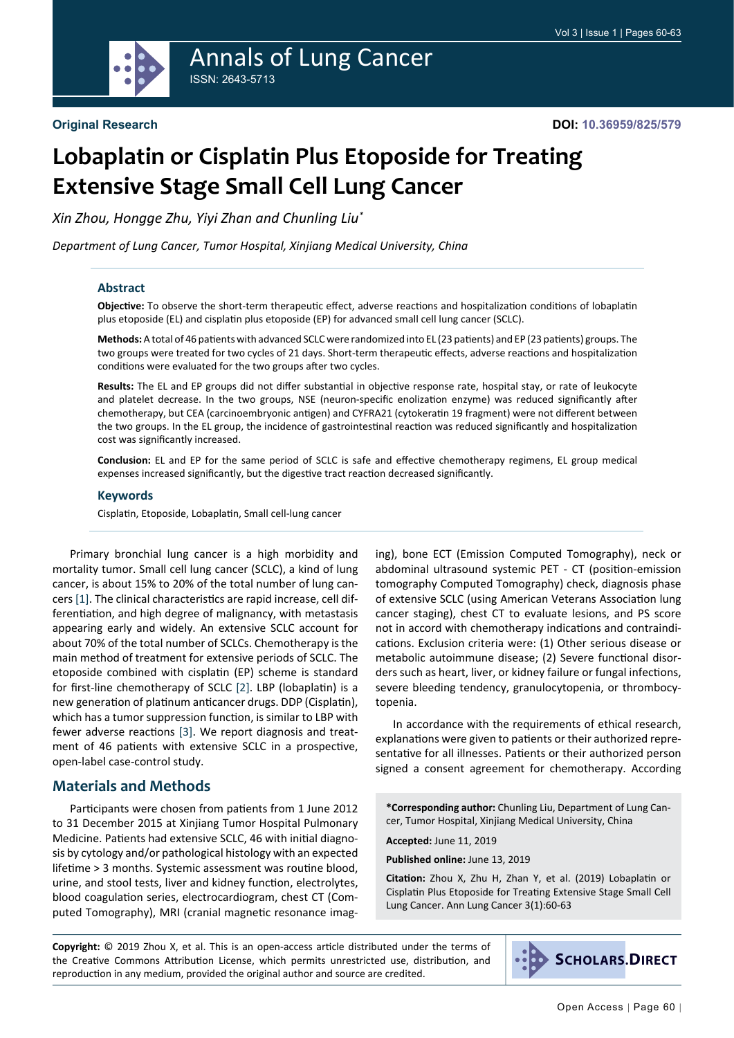

## Annals of Lung Cancer ISSN: 2643-5713

# **Lobaplatin or Cisplatin Plus Etoposide for Treating Extensive Stage Small Cell Lung Cancer**

*Xin Zhou, Hongge Zhu, Yiyi Zhan and Chunling Liu\**

*Department of Lung Cancer, Tumor Hospital, Xinjiang Medical University, China*

#### **Abstract**

**Objective:** To observe the short-term therapeutic effect, adverse reactions and hospitalization conditions of lobaplatin plus etoposide (EL) and cisplatin plus etoposide (EP) for advanced small cell lung cancer (SCLC).

**Methods:** A total of 46 patients with advanced SCLC were randomized into EL (23 patients) and EP (23 patients) groups. The two groups were treated for two cycles of 21 days. Short-term therapeutic effects, adverse reactions and hospitalization conditions were evaluated for the two groups after two cycles.

**Results:** The EL and EP groups did not differ substantial in objective response rate, hospital stay, or rate of leukocyte and platelet decrease. In the two groups, NSE (neuron-specific enolization enzyme) was reduced significantly after chemotherapy, but CEA (carcinoembryonic antigen) and CYFRA21 (cytokeratin 19 fragment) were not different between the two groups. In the EL group, the incidence of gastrointestinal reaction was reduced significantly and hospitalization cost was significantly increased.

**Conclusion:** EL and EP for the same period of SCLC is safe and effective chemotherapy regimens, EL group medical expenses increased significantly, but the digestive tract reaction decreased significantly.

#### **Keywords**

Cisplatin, Etoposide, Lobaplatin, Small cell-lung cancer

Primary bronchial lung cancer is a high morbidity and mortality tumor. Small cell lung cancer (SCLC), a kind of lung cancer, is about 15% to 20% of the total number of lung cancers [\[1](#page-3-0)]. The clinical characteristics are rapid increase, cell differentiation, and high degree of malignancy, with metastasis appearing early and widely. An extensive SCLC account for about 70% of the total number of SCLCs. Chemotherapy is the main method of treatment for extensive periods of SCLC. The etoposide combined with cisplatin (EP) scheme is standard for first-line chemotherapy of SCLC [\[2\]](#page-3-1). LBP (lobaplatin) is a new generation of platinum anticancer drugs. DDP (Cisplatin), which has a tumor suppression function, is similar to LBP with fewer adverse reactions [\[3](#page-3-2)]. We report diagnosis and treatment of 46 patients with extensive SCLC in a prospective, open-label case-control study.

## **Materials and Methods**

Participants were chosen from patients from 1 June 2012 to 31 December 2015 at Xinjiang Tumor Hospital Pulmonary Medicine. Patients had extensive SCLC, 46 with initial diagnosis by cytology and/or pathological histology with an expected lifetime > 3 months. Systemic assessment was routine blood, urine, and stool tests, liver and kidney function, electrolytes, blood coagulation series, electrocardiogram, chest CT (Computed Tomography), MRI (cranial magnetic resonance imaging), bone ECT (Emission Computed Tomography), neck or abdominal ultrasound systemic PET - CT (position-emission tomography Computed Tomography) check, diagnosis phase of extensive SCLC (using American Veterans Association lung cancer staging), chest CT to evaluate lesions, and PS score not in accord with chemotherapy indications and contraindications. Exclusion criteria were: (1) Other serious disease or metabolic autoimmune disease; (2) Severe functional disorders such as heart, liver, or kidney failure or fungal infections, severe bleeding tendency, granulocytopenia, or thrombocytopenia.

In accordance with the requirements of ethical research, explanations were given to patients or their authorized representative for all illnesses. Patients or their authorized person signed a consent agreement for chemotherapy. According

**\*Corresponding author:** Chunling Liu, Department of Lung Cancer, Tumor Hospital, Xinjiang Medical University, China

**Accepted:** June 11, 2019

**Published online:** June 13, 2019

**Citation:** Zhou X, Zhu H, Zhan Y, et al. (2019) Lobaplatin or Cisplatin Plus Etoposide for Treating Extensive Stage Small Cell Lung Cancer. Ann Lung Cancer 3(1):60-63

**Copyright:** © 2019 Zhou X, et al. This is an open-access article distributed under the terms of the Creative Commons Attribution License, which permits unrestricted use, distribution, and reproduction in any medium, provided the original author and source are credited.

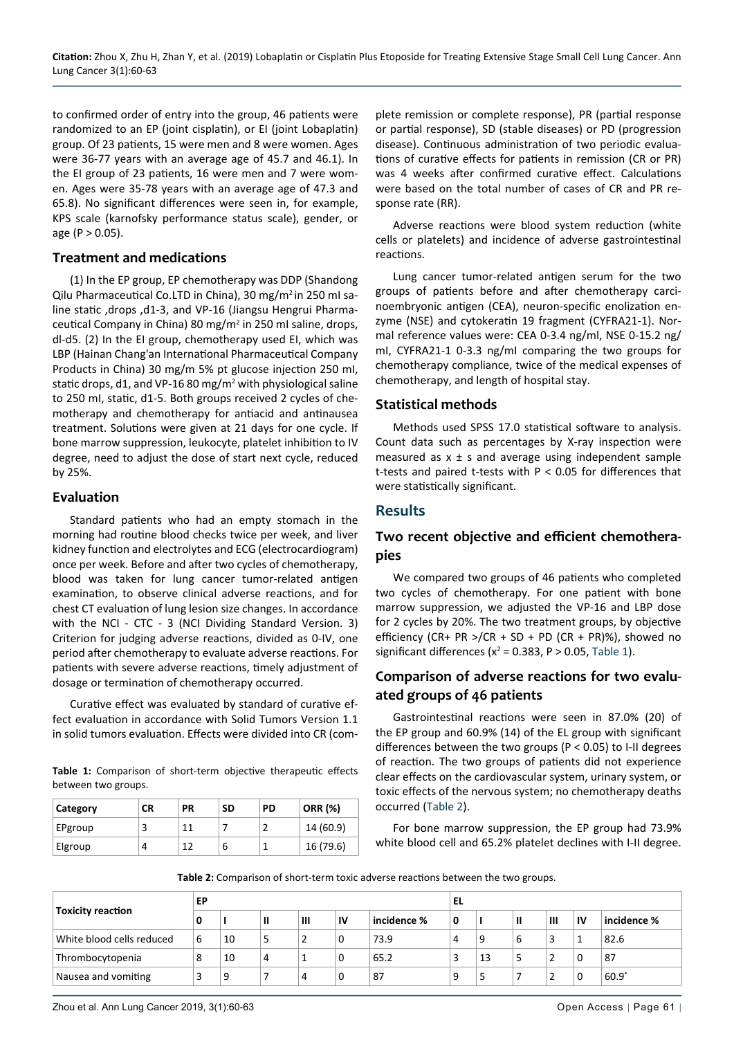to confirmed order of entry into the group, 46 patients were randomized to an EP (joint cisplatin), or EI (joint Lobaplatin) group. Of 23 patients, 15 were men and 8 were women. Ages were 36-77 years with an average age of 45.7 and 46.1). In the EI group of 23 patients, 16 were men and 7 were women. Ages were 35-78 years with an average age of 47.3 and 65.8). No significant differences were seen in, for example, KPS scale (karnofsky performance status scale), gender, or age ( $P > 0.05$ ).

#### **Treatment and medications**

(1) In the EP group, EP chemotherapy was DDP (Shandong Qilu Pharmaceutical Co.LTD in China), 30 mg/m<sup>2</sup> in 250 ml saline static ,drops ,d1-3, and VP-16 (Jiangsu Hengrui Pharmaceutical Company in China) 80 mg/m<sup>2</sup> in 250 mI saline, drops, dl-d5. (2) In the EI group, chemotherapy used EI, which was LBP (Hainan Chang'an International Pharmaceutical Company Products in China) 30 mg/m 5% pt glucose injection 250 mI, static drops, d1, and VP-16 80 mg/m<sup>2</sup> with physiological saline to 250 mI, static, d1-5. Both groups received 2 cycles of chemotherapy and chemotherapy for antiacid and antinausea treatment. Solutions were given at 21 days for one cycle. If bone marrow suppression, leukocyte, platelet inhibition to IV degree, need to adjust the dose of start next cycle, reduced by 25%.

### **Evaluation**

Standard patients who had an empty stomach in the morning had routine blood checks twice per week, and liver kidney function and electrolytes and ECG (electrocardiogram) once per week. Before and after two cycles of chemotherapy, blood was taken for lung cancer tumor-related antigen examination, to observe clinical adverse reactions, and for chest CT evaluation of lung lesion size changes. In accordance with the NCI - CTC - 3 (NCI Dividing Standard Version. 3) Criterion for judging adverse reactions, divided as 0-IV, one period after chemotherapy to evaluate adverse reactions. For patients with severe adverse reactions, timely adjustment of dosage or termination of chemotherapy occurred.

Curative effect was evaluated by standard of curative effect evaluation in accordance with Solid Tumors Version 1.1 in solid tumors evaluation. Effects were divided into CR (com-

<span id="page-1-0"></span>**Table 1:** Comparison of short-term objective therapeutic effects between two groups.

| Category | СR | РR | <b>SD</b> | PD | <b>ORR (%)</b> |
|----------|----|----|-----------|----|----------------|
| EPgroup  |    | 11 |           |    | 14 (60.9)      |
| Elgroup  | 4  | 12 | 6         |    | 16 (79.6)      |

plete remission or complete response), PR (partial response or partial response), SD (stable diseases) or PD (progression disease). Continuous administration of two periodic evaluations of curative effects for patients in remission (CR or PR) was 4 weeks after confirmed curative effect. Calculations were based on the total number of cases of CR and PR response rate (RR).

Adverse reactions were blood system reduction (white cells or platelets) and incidence of adverse gastrointestinal reactions.

Lung cancer tumor-related antigen serum for the two groups of patients before and after chemotherapy carcinoembryonic antigen (CEA), neuron-specific enolization enzyme (NSE) and cytokeratin 19 fragment (CYFRA21-1). Normal reference values were: CEA 0-3.4 ng/ml, NSE 0-15.2 ng/ mI, CYFRA21-1 0-3.3 ng/mI comparing the two groups for chemotherapy compliance, twice of the medical expenses of chemotherapy, and length of hospital stay.

## **Statistical methods**

Methods used SPSS 17.0 statistical software to analysis. Count data such as percentages by X-ray inspection were measured as  $x \pm s$  and average using independent sample t-tests and paired t-tests with P < 0.05 for differences that were statistically significant.

## **Results**

## **Two recent objective and efficient chemotherapies**

We compared two groups of 46 patients who completed two cycles of chemotherapy. For one patient with bone marrow suppression, we adjusted the VP-16 and LBP dose for 2 cycles by 20%. The two treatment groups, by objective efficiency (CR+ PR >/CR + SD + PD (CR + PR)%), showed no significant differences ( $x^2$  = 0.383, P > 0.05, [Table 1\)](#page-1-0).

## **Comparison of adverse reactions for two evaluated groups of 46 patients**

Gastrointestinal reactions were seen in 87.0% (20) of the EP group and 60.9% (14) of the EL group with significant differences between the two groups (P < 0.05) to I-II degrees of reaction. The two groups of patients did not experience clear effects on the cardiovascular system, urinary system, or toxic effects of the nervous system; no chemotherapy deaths occurred [\(Table 2\)](#page-1-1).

For bone marrow suppression, the EP group had 73.9% white blood cell and 65.2% platelet declines with I-II degree.

<span id="page-1-1"></span>**Table 2:** Comparison of short-term toxic adverse reactions between the two groups.

|                           | EP |    |   |   | EL |             |   |    |   |   |    |             |
|---------------------------|----|----|---|---|----|-------------|---|----|---|---|----|-------------|
| <b>Toxicity reaction</b>  | 0  |    | Ш | Ш | IV | incidence % | 0 |    | Ш | Ш | IV | incidence % |
| White blood cells reduced | 6  | 10 |   |   | 0  | 73.9        | 4 |    | b | - |    | 82.6        |
| Thrombocytopenia          | 8  | 10 | 4 |   | 0  | 65.2        |   | 13 |   | ৴ | 0  | 87          |
| Nausea and vomiting       |    | 9  |   | 4 | 0  | 87          | 9 |    |   |   |    | $60.9^*$    |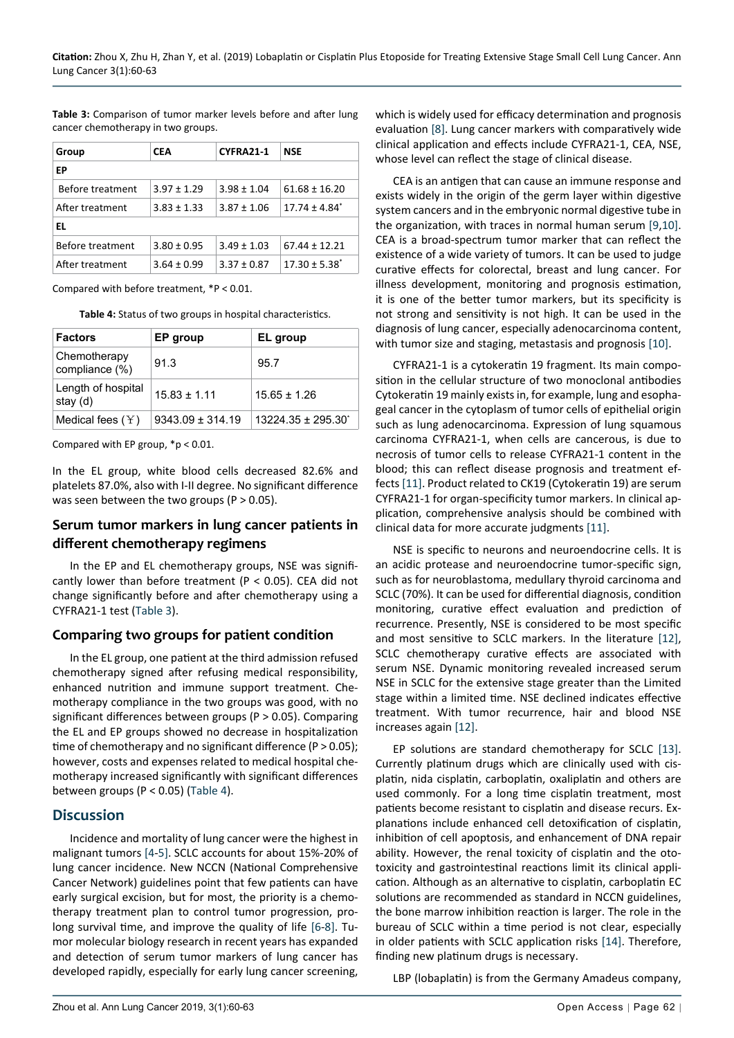<span id="page-2-0"></span>**Table 3:** Comparison of tumor marker levels before and after lung cancer chemotherapy in two groups.

| Group            | <b>CEA</b>      | CYFRA21-1       | NSE                           |  |  |  |  |  |
|------------------|-----------------|-----------------|-------------------------------|--|--|--|--|--|
| ЕP               |                 |                 |                               |  |  |  |  |  |
| Before treatment | $3.97 \pm 1.29$ | $3.98 \pm 1.04$ | $61.68 \pm 16.20$             |  |  |  |  |  |
| After treatment  | $3.83 \pm 1.33$ | $3.87 \pm 1.06$ | $17.74 \pm 4.84$ <sup>*</sup> |  |  |  |  |  |
| EL               |                 |                 |                               |  |  |  |  |  |
| Before treatment | $3.80 \pm 0.95$ | $3.49 \pm 1.03$ | $67.44 \pm 12.21$             |  |  |  |  |  |
| After treatment  | $3.64 \pm 0.99$ | $3.37 \pm 0.87$ | $17.30 \pm 5.38^*$            |  |  |  |  |  |

Compared with before treatment, \*P < 0.01.

<span id="page-2-1"></span>**Table 4:** Status of two groups in hospital characteristics.

| <b>Factors</b>                    | EP group           | EL group                      |
|-----------------------------------|--------------------|-------------------------------|
| Chemotherapy<br>compliance $(\%)$ | 91.3               | 95.7                          |
| Length of hospital<br>stay (d)    | $15.83 \pm 1.11$   | $15.65 + 1.26$                |
| Medical fees $(Y)$                | $9343.09 + 314.19$ | $13224.35 \pm 295.30^{\circ}$ |

Compared with EP group, \*p < 0.01.

In the EL group, white blood cells decreased 82.6% and platelets 87.0%, also with I-II degree. No significant difference was seen between the two groups ( $P > 0.05$ ).

## **Serum tumor markers in lung cancer patients in different chemotherapy regimens**

In the EP and EL chemotherapy groups, NSE was significantly lower than before treatment ( $P < 0.05$ ). CEA did not change significantly before and after chemotherapy using a CYFRA21-1 test ([Table 3](#page-2-0)).

## **Comparing two groups for patient condition**

In the EL group, one patient at the third admission refused chemotherapy signed after refusing medical responsibility, enhanced nutrition and immune support treatment. Chemotherapy compliance in the two groups was good, with no significant differences between groups (P > 0.05). Comparing the EL and EP groups showed no decrease in hospitalization time of chemotherapy and no significant difference (P > 0.05); however, costs and expenses related to medical hospital chemotherapy increased significantly with significant differences between groups (P < 0.05) ([Table 4](#page-2-1)).

## **Discussion**

Incidence and mortality of lung cancer were the highest in malignant tumors [\[4](#page-3-10)-[5](#page-3-11)]. SCLC accounts for about 15%-20% of lung cancer incidence. New NCCN (National Comprehensive Cancer Network) guidelines point that few patients can have early surgical excision, but for most, the priority is a chemotherapy treatment plan to control tumor progression, prolong survival time, and improve the quality of life [\[6](#page-3-12)-[8\]](#page-3-3). Tumor molecular biology research in recent years has expanded and detection of serum tumor markers of lung cancer has developed rapidly, especially for early lung cancer screening, which is widely used for efficacy determination and prognosis evaluation [[8\]](#page-3-3). Lung cancer markers with comparatively wide clinical application and effects include CYFRA21-1, CEA, NSE, whose level can reflect the stage of clinical disease.

CEA is an antigen that can cause an immune response and exists widely in the origin of the germ layer within digestive system cancers and in the embryonic normal digestive tube in the organization, with traces in normal human serum [\[9,](#page-3-4)[10](#page-3-5)]. CEA is a broad-spectrum tumor marker that can reflect the existence of a wide variety of tumors. It can be used to judge curative effects for colorectal, breast and lung cancer. For illness development, monitoring and prognosis estimation, it is one of the better tumor markers, but its specificity is not strong and sensitivity is not high. It can be used in the diagnosis of lung cancer, especially adenocarcinoma content, with tumor size and staging, metastasis and prognosis [\[10](#page-3-5)].

CYFRA21-1 is a cytokeratin 19 fragment. Its main composition in the cellular structure of two monoclonal antibodies Cytokeratin 19 mainly exists in, for example, lung and esophageal cancer in the cytoplasm of tumor cells of epithelial origin such as lung adenocarcinoma. Expression of lung squamous carcinoma CYFRA21-1, when cells are cancerous, is due to necrosis of tumor cells to release CYFRA21-1 content in the blood; this can reflect disease prognosis and treatment effects [\[11](#page-3-6)]. Product related to CK19 (Cytokeratin 19) are serum CYFRA21-1 for organ-specificity tumor markers. In clinical application, comprehensive analysis should be combined with clinical data for more accurate judgments [[11](#page-3-6)].

NSE is specific to neurons and neuroendocrine cells. It is an acidic protease and neuroendocrine tumor-specific sign, such as for neuroblastoma, medullary thyroid carcinoma and SCLC (70%). It can be used for differential diagnosis, condition monitoring, curative effect evaluation and prediction of recurrence. Presently, NSE is considered to be most specific and most sensitive to SCLC markers. In the literature [\[12](#page-3-7)], SCLC chemotherapy curative effects are associated with serum NSE. Dynamic monitoring revealed increased serum NSE in SCLC for the extensive stage greater than the Limited stage within a limited time. NSE declined indicates effective treatment. With tumor recurrence, hair and blood NSE increases again [[12](#page-3-7)].

EP solutions are standard chemotherapy for SCLC [\[13](#page-3-8)]. Currently platinum drugs which are clinically used with cisplatin, nida cisplatin, carboplatin, oxaliplatin and others are used commonly. For a long time cisplatin treatment, most patients become resistant to cisplatin and disease recurs. Explanations include enhanced cell detoxification of cisplatin, inhibition of cell apoptosis, and enhancement of DNA repair ability. However, the renal toxicity of cisplatin and the ototoxicity and gastrointestinal reactions limit its clinical application. Although as an alternative to cisplatin, carboplatin EC solutions are recommended as standard in NCCN guidelines, the bone marrow inhibition reaction is larger. The role in the bureau of SCLC within a time period is not clear, especially in older patients with SCLC application risks [\[14](#page-3-9)]. Therefore, finding new platinum drugs is necessary.

LBP (lobaplatin) is from the Germany Amadeus company,